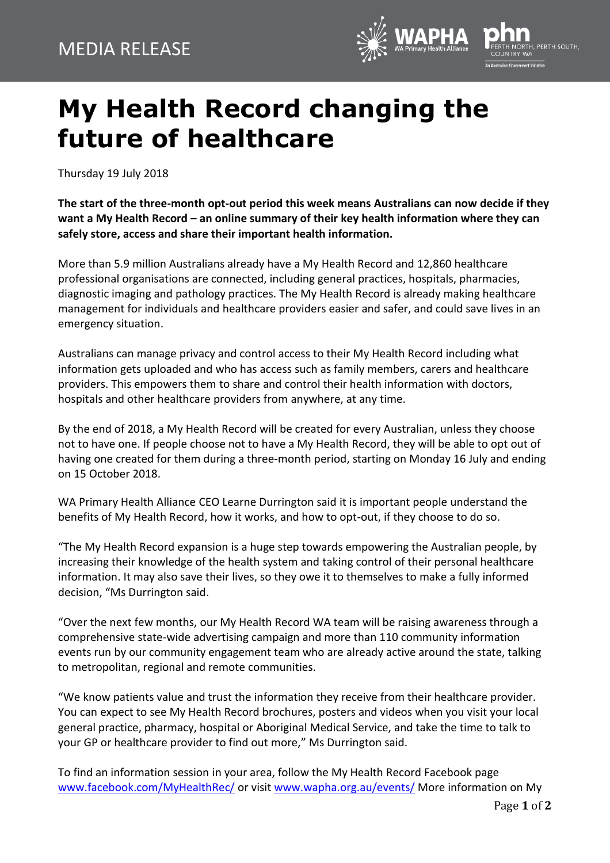

## **My Health Record changing the future of healthcare**

Thursday 19 July 2018

**The start of the three-month opt-out period this week means Australians can now decide if they want a My Health Record – an online summary of their key health information where they can safely store, access and share their important health information.**

More than 5.9 million Australians already have a My Health Record and 12,860 healthcare professional organisations are connected, including general practices, hospitals, pharmacies, diagnostic imaging and pathology practices. The My Health Record is already making healthcare management for individuals and healthcare providers easier and safer, and could save lives in an emergency situation.

Australians can manage privacy and control access to their My Health Record including what information gets uploaded and who has access such as family members, carers and healthcare providers. This empowers them to share and control their health information with doctors, hospitals and other healthcare providers from anywhere, at any time.

By the end of 2018, a My Health Record will be created for every Australian, unless they choose not to have one. If people choose not to have a My Health Record, they will be able to opt out of having one created for them during a three‐month period, starting on Monday 16 July and ending on 15 October 2018.

WA Primary Health Alliance CEO Learne Durrington said it is important people understand the benefits of My Health Record, how it works, and how to opt-out, if they choose to do so.

"The My Health Record expansion is a huge step towards empowering the Australian people, by increasing their knowledge of the health system and taking control of their personal healthcare information. It may also save their lives, so they owe it to themselves to make a fully informed decision, "Ms Durrington said.

"Over the next few months, our My Health Record WA team will be raising awareness through a comprehensive state-wide advertising campaign and more than 110 community information events run by our community engagement team who are already active around the state, talking to metropolitan, regional and remote communities.

"We know patients value and trust the information they receive from their healthcare provider. You can expect to see My Health Record brochures, posters and videos when you visit your local general practice, pharmacy, hospital or Aboriginal Medical Service, and take the time to talk to your GP or healthcare provider to find out more," Ms Durrington said.

To find an information session in your area, follow the My Health Record Facebook page [www.facebook.com/MyHealthRec/](http://www.facebook.com/MyHealthRec/) or visit [www.wapha.org.au/events/](http://www.wapha.org.au/events/) More information on My